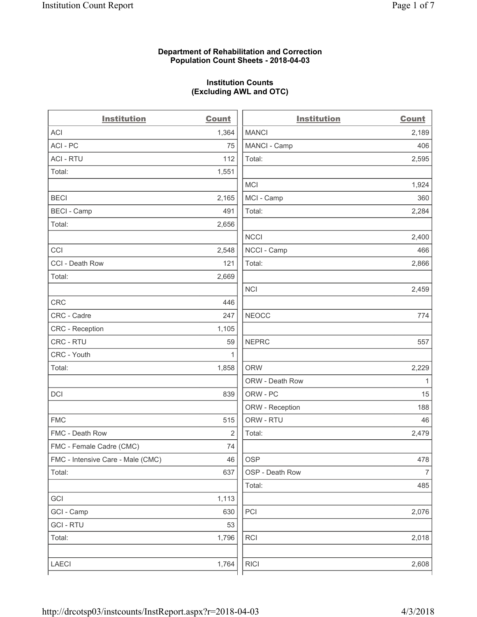### **Department of Rehabilitation and Correction Population Count Sheets - 2018-04-03**

# **Institution Counts (Excluding AWL and OTC)**

. .

| <b>Institution</b>                | <b>Count</b> | <b>Institution</b> | <b>Count</b>   |
|-----------------------------------|--------------|--------------------|----------------|
| ACI                               | 1,364        | <b>MANCI</b>       | 2,189          |
| ACI - PC                          | 75           | MANCI - Camp       | 406            |
| <b>ACI - RTU</b>                  | 112          | Total:             | 2,595          |
| Total:                            | 1,551        |                    |                |
|                                   |              | <b>MCI</b>         | 1,924          |
| <b>BECI</b>                       | 2,165        | MCI - Camp         | 360            |
| <b>BECI - Camp</b>                | 491          | Total:             | 2,284          |
| Total:                            | 2,656        |                    |                |
|                                   |              | <b>NCCI</b>        | 2,400          |
| CCI                               | 2,548        | NCCI - Camp        | 466            |
| CCI - Death Row                   | 121          | Total:             | 2,866          |
| Total:                            | 2,669        |                    |                |
|                                   |              | <b>NCI</b>         | 2,459          |
| <b>CRC</b>                        | 446          |                    |                |
| CRC - Cadre                       | 247          | <b>NEOCC</b>       | 774            |
| CRC - Reception                   | 1,105        |                    |                |
| CRC - RTU                         | 59           | <b>NEPRC</b>       | 557            |
| CRC - Youth                       | 1            |                    |                |
| Total:                            | 1,858        | <b>ORW</b>         | 2,229          |
|                                   |              | ORW - Death Row    | 1              |
| DCI                               | 839          | ORW - PC           | 15             |
|                                   |              | ORW - Reception    | 188            |
| <b>FMC</b>                        | 515          | ORW - RTU          | 46             |
| FMC - Death Row                   | 2            | Total:             | 2,479          |
| FMC - Female Cadre (CMC)          | 74           |                    |                |
| FMC - Intensive Care - Male (CMC) | 46           | <b>OSP</b>         | 478            |
| Total:                            | 637          | OSP - Death Row    | $\overline{7}$ |
|                                   |              | Total:             | 485            |
| GCI                               | 1,113        |                    |                |
| GCI - Camp                        | 630          | PCI                | 2,076          |
| <b>GCI-RTU</b>                    | 53           |                    |                |
| Total:                            | 1,796        | RCI                | 2,018          |
| LAECI                             | 1,764        | <b>RICI</b>        | 2,608          |
|                                   |              |                    |                |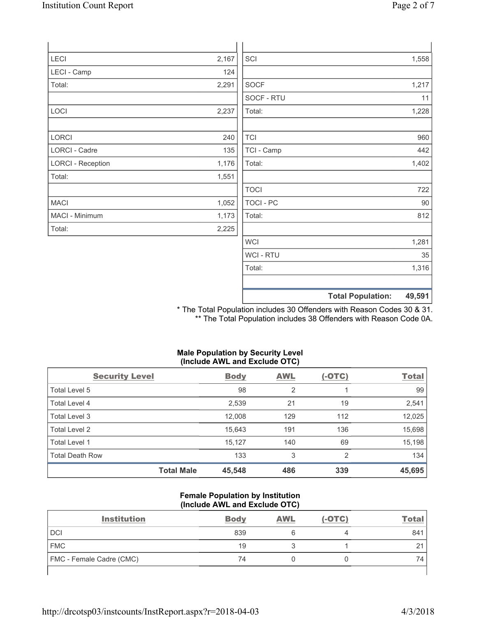| LECI                     | 2,167 | SCI         | 1,558 |
|--------------------------|-------|-------------|-------|
| LECI - Camp              | 124   |             |       |
| Total:                   | 2,291 | <b>SOCF</b> | 1,217 |
|                          |       | SOCF - RTU  | 11    |
| LOCI                     | 2,237 | Total:      | 1,228 |
| LORCI                    | 240   | <b>TCI</b>  | 960   |
| <b>LORCI - Cadre</b>     | 135   | TCI - Camp  | 442   |
| <b>LORCI - Reception</b> | 1,176 | Total:      | 1,402 |
| Total:                   | 1,551 |             |       |
|                          |       | <b>TOCI</b> | 722   |
| <b>MACI</b>              | 1,052 | TOCI - PC   | 90    |
| MACI - Minimum           | 1,173 | Total:      | 812   |
| Total:                   | 2,225 |             |       |
|                          |       | <b>WCI</b>  | 1,281 |
|                          |       | WCI - RTU   | 35    |
|                          |       | Total:      | 1,316 |

\* The Total Population includes 30 Offenders with Reason Codes 30 & 31. \*\* The Total Population includes 38 Offenders with Reason Code 0A.

**Total Population: 49,591**

## **Male Population by Security Level (Include AWL and Exclude OTC)**

| <b>Security Level</b>  | <b>Body</b> | <b>AWL</b> | $(-OTC)$       | <b>Total</b> |
|------------------------|-------------|------------|----------------|--------------|
| Total Level 5          | 98          | 2          |                | 99           |
| <b>Total Level 4</b>   | 2,539       | 21         | 19             | 2,541        |
| Total Level 3          | 12,008      | 129        | 112            | 12,025       |
| Total Level 2          | 15,643      | 191        | 136            | 15,698       |
| Total Level 1          | 15,127      | 140        | 69             | 15,198       |
| <b>Total Death Row</b> | 133         | 3          | $\overline{2}$ | 134          |
| <b>Total Male</b>      | 45,548      | 486        | 339            | 45,695       |

## **Female Population by Institution (Include AWL and Exclude OTC)**

| <b>Institution</b>              | <b>Body</b> | <b>AWL</b> | $(-OTC)$ | <u>Total</u> |
|---------------------------------|-------------|------------|----------|--------------|
| <b>DCI</b>                      | 839         |            |          | 841          |
| <b>FMC</b>                      | 19          |            |          | $\sim$<br>∠  |
| <b>FMC</b> - Female Cadre (CMC) | 74          |            |          | 74           |
|                                 |             |            |          |              |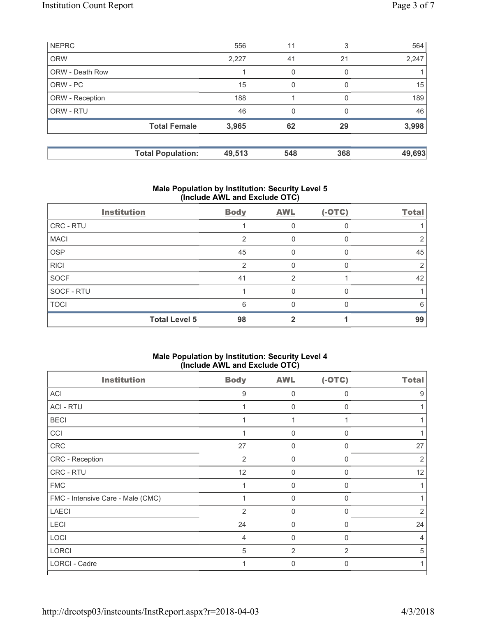| <b>NEPRC</b>    |                          | 556    | 11  | 3        | 564    |
|-----------------|--------------------------|--------|-----|----------|--------|
| <b>ORW</b>      |                          | 2,227  | 41  | 21       | 2,247  |
| ORW - Death Row |                          |        | 0   | 0        |        |
| ORW - PC        |                          | 15     | 0   | $\Omega$ | 15     |
| ORW - Reception |                          | 188    |     | 0        | 189    |
| ORW - RTU       |                          | 46     | 0   |          | 46     |
|                 | <b>Total Female</b>      | 3,965  | 62  | 29       | 3,998  |
|                 |                          |        |     |          |        |
|                 | <b>Total Population:</b> | 49,513 | 548 | 368      | 49,693 |

# **Male Population by Institution: Security Level 5 (Include AWL and Exclude OTC)**

| <b>Institution</b>   | <b>Body</b> | <b>AWL</b> | $(-OTC)$ | <b>Total</b> |
|----------------------|-------------|------------|----------|--------------|
| CRC - RTU            |             |            |          |              |
| <b>MACI</b>          | 2           |            |          |              |
| <b>OSP</b>           | 45          |            |          | 45           |
| <b>RICI</b>          | っ           |            |          |              |
| <b>SOCF</b>          | 41          | 2          |          | 42           |
| SOCF - RTU           |             |            |          |              |
| <b>TOCI</b>          | 6           | U          |          | 6            |
| <b>Total Level 5</b> | 98          |            |          | 99           |

#### **Male Population by Institution: Security Level 4 (Include AWL and Exclude OTC)**

| <b>Institution</b>                | <b>Body</b>    | <b>AWL</b>     | $(-OTC)$     | <b>Total</b>   |
|-----------------------------------|----------------|----------------|--------------|----------------|
| <b>ACI</b>                        | 9              | $\Omega$       | $\Omega$     | 9              |
| <b>ACI - RTU</b>                  |                | 0              | 0            |                |
| <b>BECI</b>                       |                | 1              |              |                |
| CCI                               |                | $\mathbf 0$    | $\Omega$     |                |
| CRC                               | 27             | 0              | 0            | 27             |
| CRC - Reception                   | 2              | $\mathbf 0$    | $\Omega$     | $\overline{2}$ |
| CRC - RTU                         | 12             | 0              | $\mathbf{0}$ | 12             |
| <b>FMC</b>                        |                | $\Omega$       | $\Omega$     |                |
| FMC - Intensive Care - Male (CMC) |                | $\Omega$       | $\Omega$     |                |
| <b>LAECI</b>                      | 2              | 0              | $\Omega$     | $\overline{2}$ |
| LECI                              | 24             | $\mathbf 0$    | $\Omega$     | 24             |
| LOCI                              | $\overline{4}$ | $\mathbf 0$    | $\Omega$     | 4              |
| <b>LORCI</b>                      | 5              | $\overline{2}$ | 2            | 5              |
| LORCI - Cadre                     | 1              | 0              | $\Omega$     | 1              |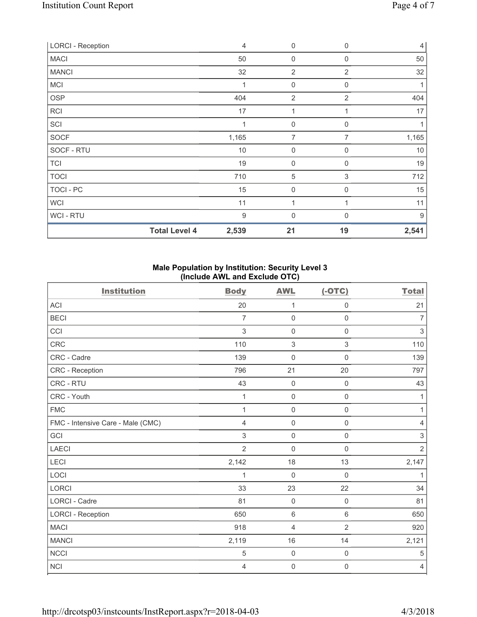| <b>LORCI - Reception</b> |                      | $\overline{4}$   | 0                | $\mathbf 0$    | $\overline{4}$ |
|--------------------------|----------------------|------------------|------------------|----------------|----------------|
| <b>MACI</b>              |                      | 50               | 0                | $\Omega$       | 50             |
| <b>MANCI</b>             |                      | 32               | $\overline{2}$   | 2              | 32             |
| <b>MCI</b>               |                      | 1                | $\mathbf 0$      | $\mathbf 0$    | 1              |
| <b>OSP</b>               |                      | 404              | $\overline{2}$   | $\overline{2}$ | 404            |
| RCI                      |                      | 17               | 1                | 1              | 17             |
| SCI                      |                      |                  | $\mathbf 0$      | 0              |                |
| SOCF                     |                      | 1,165            | 7                | 7              | 1,165          |
| SOCF - RTU               |                      | 10               | $\boldsymbol{0}$ | 0              | 10             |
| <b>TCI</b>               |                      | 19               | $\mathbf 0$      | 0              | 19             |
| <b>TOCI</b>              |                      | 710              | 5                | 3              | 712            |
| TOCI - PC                |                      | 15               | $\mathbf 0$      | 0              | 15             |
| <b>WCI</b>               |                      | 11               | 1                |                | 11             |
| <b>WCI-RTU</b>           |                      | $\boldsymbol{9}$ | $\mathbf 0$      | $\Omega$       | 9              |
|                          | <b>Total Level 4</b> | 2,539            | 21               | 19             | 2,541          |

### **Male Population by Institution: Security Level 3 (Include AWL and Exclude OTC)**

| <b>Institution</b>                | <b>Body</b>    | <b>AWL</b>          | $(-OTC)$            | <b>Total</b>   |
|-----------------------------------|----------------|---------------------|---------------------|----------------|
| <b>ACI</b>                        | 20             | $\mathbf{1}$        | $\mathsf{O}\xspace$ | 21             |
| <b>BECI</b>                       | 7              | $\mathbf 0$         | $\mathsf 0$         | $\overline{7}$ |
| CCI                               | $\sqrt{3}$     | $\mathbf 0$         | $\mathsf{O}\xspace$ | $\mathfrak{S}$ |
| <b>CRC</b>                        | 110            | $\sqrt{3}$          | $\,$ 3 $\,$         | 110            |
| CRC - Cadre                       | 139            | $\mathbf 0$         | $\mathbf 0$         | 139            |
| CRC - Reception                   | 796            | 21                  | 20                  | 797            |
| <b>CRC - RTU</b>                  | 43             | $\mathbf 0$         | $\mathsf 0$         | 43             |
| CRC - Youth                       | 1              | $\mathsf{O}\xspace$ | $\mathsf{O}\xspace$ | 1              |
| <b>FMC</b>                        | 1              | $\mathbf 0$         | $\mathsf 0$         | 1              |
| FMC - Intensive Care - Male (CMC) | 4              | $\mathbf 0$         | $\mathsf 0$         | $\overline{4}$ |
| GCI                               | 3              | $\mathsf{O}\xspace$ | $\mathsf 0$         | $\sqrt{3}$     |
| <b>LAECI</b>                      | $\overline{2}$ | $\mathbf 0$         | $\mathsf 0$         | $\overline{2}$ |
| <b>LECI</b>                       | 2,142          | 18                  | 13                  | 2,147          |
| LOCI                              | 1              | $\mathbf 0$         | $\mathbf 0$         | $\mathbf{1}$   |
| <b>LORCI</b>                      | 33             | 23                  | 22                  | 34             |
| <b>LORCI - Cadre</b>              | 81             | $\mathbf 0$         | $\mathsf 0$         | 81             |
| <b>LORCI - Reception</b>          | 650            | $6\,$               | 6                   | 650            |
| <b>MACI</b>                       | 918            | 4                   | $\overline{2}$      | 920            |
| <b>MANCI</b>                      | 2,119          | 16                  | 14                  | 2,121          |
| <b>NCCI</b>                       | 5              | $\mathbf 0$         | $\mathsf{O}\xspace$ | $\sqrt{5}$     |
| <b>NCI</b>                        | 4              | $\mathsf{O}\xspace$ | 0                   | $\overline{4}$ |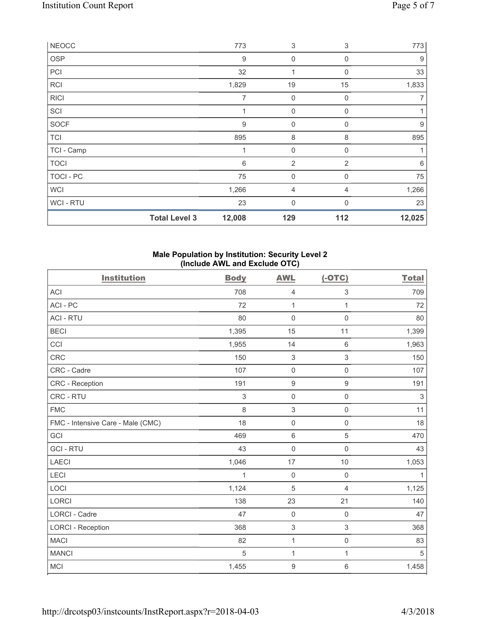| <b>NEOCC</b> |                      | 773              | $\sqrt{3}$     | 3           | 773    |
|--------------|----------------------|------------------|----------------|-------------|--------|
| <b>OSP</b>   |                      | 9                | 0              | $\Omega$    | 9      |
| PCI          |                      | 32               | 1              | $\mathbf 0$ | 33     |
| <b>RCI</b>   |                      | 1,829            | 19             | 15          | 1,833  |
| <b>RICI</b>  |                      | 7                | 0              | 0           |        |
| SCI          |                      | 1                | $\mathbf 0$    | 0           |        |
| SOCF         |                      | $\boldsymbol{9}$ | $\mathbf 0$    | 0           | 9      |
| <b>TCI</b>   |                      | 895              | 8              | 8           | 895    |
| TCI - Camp   |                      | 1                | $\mathbf 0$    | 0           |        |
| <b>TOCI</b>  |                      | 6                | $\overline{2}$ | 2           | 6      |
| TOCI - PC    |                      | 75               | 0              | $\Omega$    | 75     |
| <b>WCI</b>   |                      | 1,266            | 4              | 4           | 1,266  |
| WCI - RTU    |                      | 23               | 0              | $\Omega$    | 23     |
|              | <b>Total Level 3</b> | 12,008           | 129            | 112         | 12,025 |

### **Male Population by Institution: Security Level 2 (Include AWL and Exclude OTC)**

| <b>Institution</b>                | <b>Body</b> | <b>AWL</b>       | $(-OTC)$            | <b>Total</b> |
|-----------------------------------|-------------|------------------|---------------------|--------------|
| ACI                               | 708         | $\overline{4}$   | $\,$ 3 $\,$         | 709          |
| ACI - PC                          | 72          | $\mathbf{1}$     | 1                   | 72           |
| <b>ACI - RTU</b>                  | 80          | $\mathbf 0$      | $\mathbf 0$         | 80           |
| <b>BECI</b>                       | 1,395       | 15               | 11                  | 1,399        |
| CCI                               | 1,955       | 14               | $\,6\,$             | 1,963        |
| CRC                               | 150         | $\mathbf{3}$     | $\mathsf 3$         | 150          |
| CRC - Cadre                       | 107         | $\mathbf 0$      | $\mathbf 0$         | 107          |
| CRC - Reception                   | 191         | $\boldsymbol{9}$ | $\mathsf g$         | 191          |
| CRC - RTU                         | 3           | $\mathbf 0$      | $\mathsf{O}\xspace$ | $\mathsf 3$  |
| <b>FMC</b>                        | 8           | 3                | $\mathsf{O}\xspace$ | 11           |
| FMC - Intensive Care - Male (CMC) | 18          | $\mathbf 0$      | $\mathsf{O}\xspace$ | 18           |
| GCI                               | 469         | $\,6\,$          | 5                   | 470          |
| <b>GCI-RTU</b>                    | 43          | $\mathbf 0$      | $\mathsf 0$         | 43           |
| <b>LAECI</b>                      | 1,046       | 17               | 10                  | 1,053        |
| LECI                              | 1           | $\mathbf 0$      | $\mathsf 0$         | $\mathbf{1}$ |
| LOCI                              | 1,124       | 5                | $\overline{4}$      | 1,125        |
| <b>LORCI</b>                      | 138         | 23               | 21                  | 140          |
| <b>LORCI - Cadre</b>              | 47          | $\mathbf 0$      | $\mathsf 0$         | 47           |
| <b>LORCI - Reception</b>          | 368         | $\,$ 3 $\,$      | $\mathsf 3$         | 368          |
| <b>MACI</b>                       | 82          | 1                | $\mathsf{O}\xspace$ | 83           |
| <b>MANCI</b>                      | 5           | 1                | $\mathbf{1}$        | 5            |
| <b>MCI</b>                        | 1,455       | $\boldsymbol{9}$ | $\,6\,$             | 1,458        |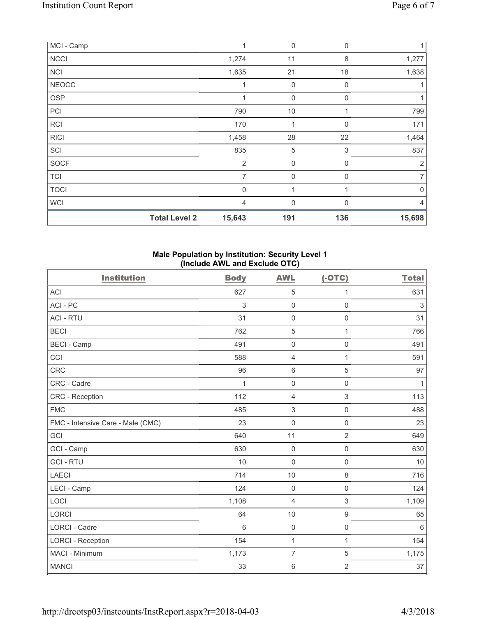| MCI - Camp   |                      | 1              | $\mathbf 0$ | 0                         | 1              |
|--------------|----------------------|----------------|-------------|---------------------------|----------------|
| <b>NCCI</b>  |                      | 1,274          | 11          | 8                         | 1,277          |
| <b>NCI</b>   |                      | 1,635          | 21          | 18                        | 1,638          |
| <b>NEOCC</b> |                      |                | $\mathsf 0$ | 0                         |                |
| <b>OSP</b>   |                      | 1              | $\mathbf 0$ | 0                         |                |
| PCI          |                      | 790            | $10$        | 1                         | 799            |
| <b>RCI</b>   |                      | 170            | 1           | 0                         | 171            |
| <b>RICI</b>  |                      | 1,458          | 28          | 22                        | 1,464          |
| SCI          |                      | 835            | $\sqrt{5}$  | $\ensuremath{\mathsf{3}}$ | 837            |
| <b>SOCF</b>  |                      | $\overline{2}$ | $\mathbf 0$ | $\mathbf{0}$              | $\overline{2}$ |
| <b>TCI</b>   |                      | $\overline{7}$ | $\mathbf 0$ | $\Omega$                  | $\overline{7}$ |
| <b>TOCI</b>  |                      | $\mathbf 0$    | 1           |                           | $\mathbf 0$    |
| <b>WCI</b>   |                      | $\overline{4}$ | $\mathbf 0$ | O                         | 4              |
|              | <b>Total Level 2</b> | 15,643         | 191         | 136                       | 15,698         |

## **Male Population by Institution: Security Level 1 (Include AWL and Exclude OTC)**

| <b>Institution</b>                | <b>Body</b>    | <b>AWL</b>          | $(-OTC)$            | <b>Total</b> |
|-----------------------------------|----------------|---------------------|---------------------|--------------|
| <b>ACI</b>                        | 627            | 5                   | 1                   | 631          |
| ACI - PC                          | 3              | $\mathsf{O}\xspace$ | $\mathsf 0$         | $\,$ 3 $\,$  |
| <b>ACI - RTU</b>                  | 31             | $\mathsf{O}\xspace$ | $\mathsf{O}\xspace$ | 31           |
| <b>BECI</b>                       | 762            | $\overline{5}$      | 1                   | 766          |
| <b>BECI - Camp</b>                | 491            | $\mathbf 0$         | $\mathsf 0$         | 491          |
| CCI                               | 588            | $\overline{4}$      | 1                   | 591          |
| <b>CRC</b>                        | 96             | $\,6\,$             | 5                   | 97           |
| CRC - Cadre                       | 1              | $\mathsf{O}\xspace$ | $\mathsf{O}\xspace$ | 1            |
| CRC - Reception                   | 112            | $\overline{4}$      | 3                   | 113          |
| <b>FMC</b>                        | 485            | $\sqrt{3}$          | $\mathsf 0$         | 488          |
| FMC - Intensive Care - Male (CMC) | 23             | $\mathsf{O}\xspace$ | $\mathsf 0$         | 23           |
| GCI                               | 640            | 11                  | $\overline{2}$      | 649          |
| GCI - Camp                        | 630            | $\mathbf 0$         | $\mathsf{O}\xspace$ | 630          |
| <b>GCI-RTU</b>                    | 10             | $\mathsf{O}\xspace$ | $\mathsf{O}\xspace$ | 10           |
| <b>LAECI</b>                      | 714            | 10                  | 8                   | 716          |
| LECI - Camp                       | 124            | $\mathbf 0$         | $\mathsf{O}\xspace$ | 124          |
| LOCI                              | 1,108          | $\overline{4}$      | 3                   | 1,109        |
| <b>LORCI</b>                      | 64             | 10                  | $\mathsf g$         | 65           |
| <b>LORCI - Cadre</b>              | $6\phantom{1}$ | $\mathsf{O}\xspace$ | $\mathsf{O}\xspace$ | $\,6\,$      |
| <b>LORCI - Reception</b>          | 154            | $\mathbf{1}$        | 1                   | 154          |
| MACI - Minimum                    | 1,173          | $\overline{7}$      | 5                   | 1,175        |
| <b>MANCI</b>                      | 33             | $\,6\,$             | $\overline{2}$      | 37           |